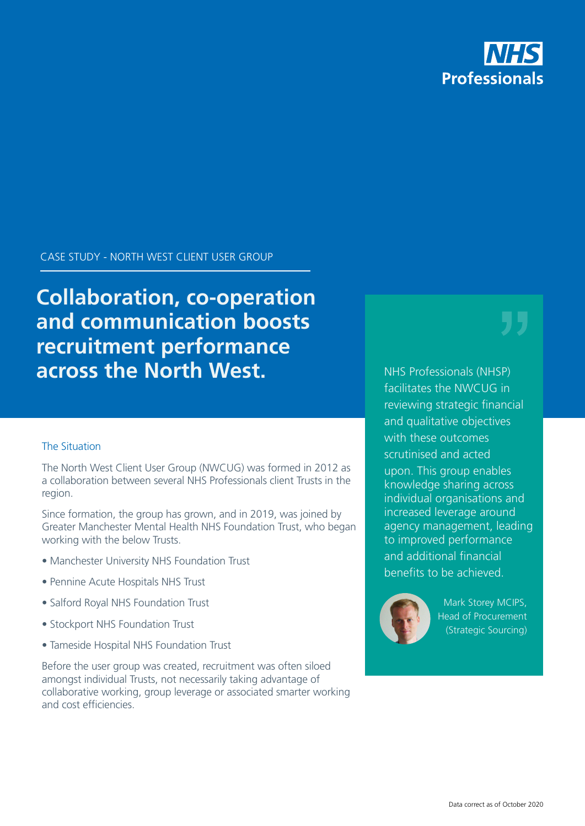

CASE STUDY - NORTH WEST CLIENT USER GROUP

**Collaboration, co-operation and communication boosts recruitment performance across the North West.**

## The Situation

The North West Client User Group (NWCUG) was formed in 2012 as a collaboration between several NHS Professionals client Trusts in the region.

Since formation, the group has grown, and in 2019, was joined by Greater Manchester Mental Health NHS Foundation Trust, who began working with the below Trusts.

- Manchester University NHS Foundation Trust
- Pennine Acute Hospitals NHS Trust
- Salford Royal NHS Foundation Trust
- Stockport NHS Foundation Trust
- Tameside Hospital NHS Foundation Trust

Before the user group was created, recruitment was often siloed amongst individual Trusts, not necessarily taking advantage of collaborative working, group leverage or associated smarter working and cost efficiencies.

NHS Professionals (NHSP) facilitates the NWCUG in reviewing strategic financial and qualitative objectives with these outcomes scrutinised and acted upon. This group enables knowledge sharing across individual organisations and increased leverage around agency management, leading to improved performance and additional financial benefits to be achieved.



Mark Storey MCIPS, Head of Procurement (Strategic Sourcing)